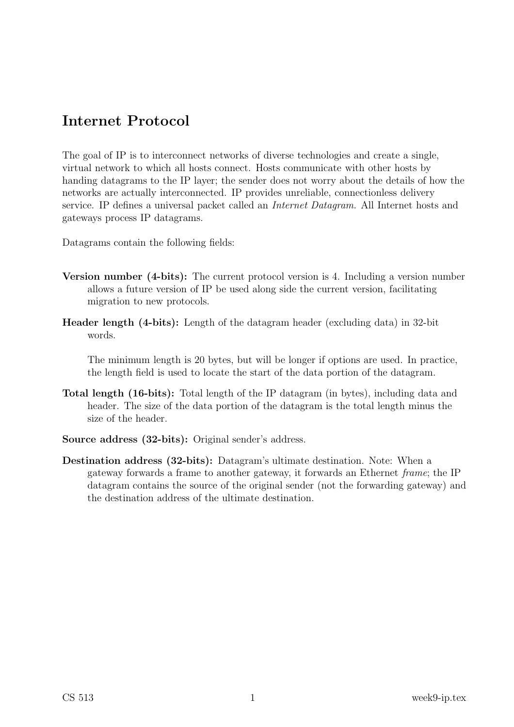# Internet Protocol

The goal of IP is to interconnect networks of diverse technologies and create a single, virtual network to which all hosts connect. Hosts communicate with other hosts by handing datagrams to the IP layer; the sender does not worry about the details of how the networks are actually interconnected. IP provides unreliable, connectionless delivery service. IP defines a universal packet called an Internet Datagram. All Internet hosts and gateways process IP datagrams.

Datagrams contain the following fields:

- Version number (4-bits): The current protocol version is 4. Including a version number allows a future version of IP be used along side the current version, facilitating migration to new protocols.
- Header length (4-bits): Length of the datagram header (excluding data) in 32-bit words.

The minimum length is 20 bytes, but will be longer if options are used. In practice, the length field is used to locate the start of the data portion of the datagram.

- Total length (16-bits): Total length of the IP datagram (in bytes), including data and header. The size of the data portion of the datagram is the total length minus the size of the header.
- Source address (32-bits): Original sender's address.
- Destination address (32-bits): Datagram's ultimate destination. Note: When a gateway forwards a frame to another gateway, it forwards an Ethernet frame; the IP datagram contains the source of the original sender (not the forwarding gateway) and the destination address of the ultimate destination.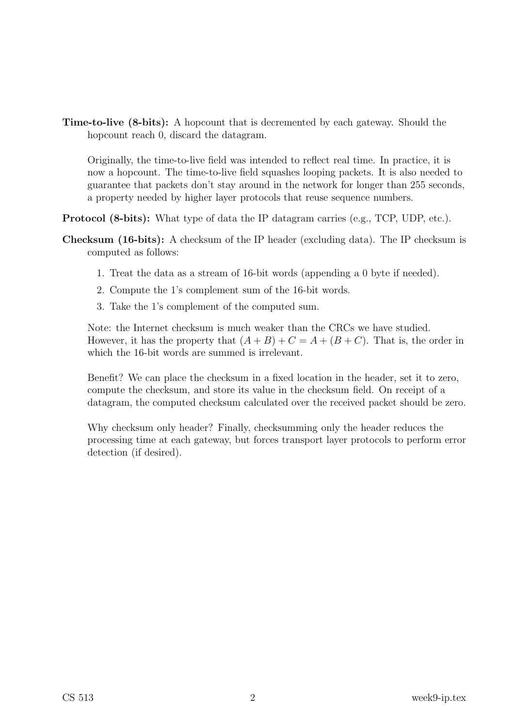Time-to-live (8-bits): A hopcount that is decremented by each gateway. Should the hopcount reach 0, discard the datagram.

Originally, the time-to-live field was intended to reflect real time. In practice, it is now a hopcount. The time-to-live field squashes looping packets. It is also needed to guarantee that packets don't stay around in the network for longer than 255 seconds, a property needed by higher layer protocols that reuse sequence numbers.

Protocol (8-bits): What type of data the IP datagram carries (e.g., TCP, UDP, etc.).

- Checksum (16-bits): A checksum of the IP header (excluding data). The IP checksum is computed as follows:
	- 1. Treat the data as a stream of 16-bit words (appending a 0 byte if needed).
	- 2. Compute the 1's complement sum of the 16-bit words.
	- 3. Take the 1's complement of the computed sum.

Note: the Internet checksum is much weaker than the CRCs we have studied. However, it has the property that  $(A + B) + C = A + (B + C)$ . That is, the order in which the 16-bit words are summed is irrelevant.

Benefit? We can place the checksum in a fixed location in the header, set it to zero, compute the checksum, and store its value in the checksum field. On receipt of a datagram, the computed checksum calculated over the received packet should be zero.

Why checksum only header? Finally, checksumming only the header reduces the processing time at each gateway, but forces transport layer protocols to perform error detection (if desired).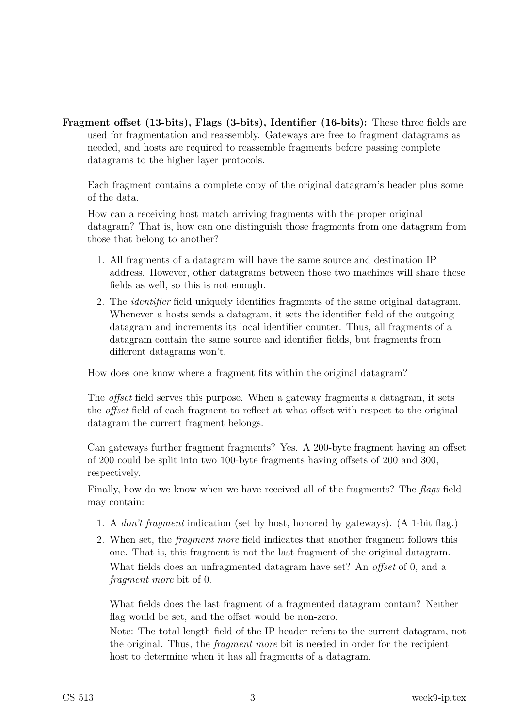Fragment offset (13-bits), Flags (3-bits), Identifier (16-bits): These three fields are used for fragmentation and reassembly. Gateways are free to fragment datagrams as needed, and hosts are required to reassemble fragments before passing complete datagrams to the higher layer protocols.

Each fragment contains a complete copy of the original datagram's header plus some of the data.

How can a receiving host match arriving fragments with the proper original datagram? That is, how can one distinguish those fragments from one datagram from those that belong to another?

- 1. All fragments of a datagram will have the same source and destination IP address. However, other datagrams between those two machines will share these fields as well, so this is not enough.
- 2. The identifier field uniquely identifies fragments of the same original datagram. Whenever a hosts sends a datagram, it sets the identifier field of the outgoing datagram and increments its local identifier counter. Thus, all fragments of a datagram contain the same source and identifier fields, but fragments from different datagrams won't.

How does one know where a fragment fits within the original datagram?

The *offset* field serves this purpose. When a gateway fragments a datagram, it sets the offset field of each fragment to reflect at what offset with respect to the original datagram the current fragment belongs.

Can gateways further fragment fragments? Yes. A 200-byte fragment having an offset of 200 could be split into two 100-byte fragments having offsets of 200 and 300, respectively.

Finally, how do we know when we have received all of the fragments? The flags field may contain:

- 1. A don't fragment indication (set by host, honored by gateways). (A 1-bit flag.)
- 2. When set, the fragment more field indicates that another fragment follows this one. That is, this fragment is not the last fragment of the original datagram. What fields does an unfragmented datagram have set? An *offset* of 0, and a fragment more bit of 0.

What fields does the last fragment of a fragmented datagram contain? Neither flag would be set, and the offset would be non-zero.

Note: The total length field of the IP header refers to the current datagram, not the original. Thus, the fragment more bit is needed in order for the recipient host to determine when it has all fragments of a datagram.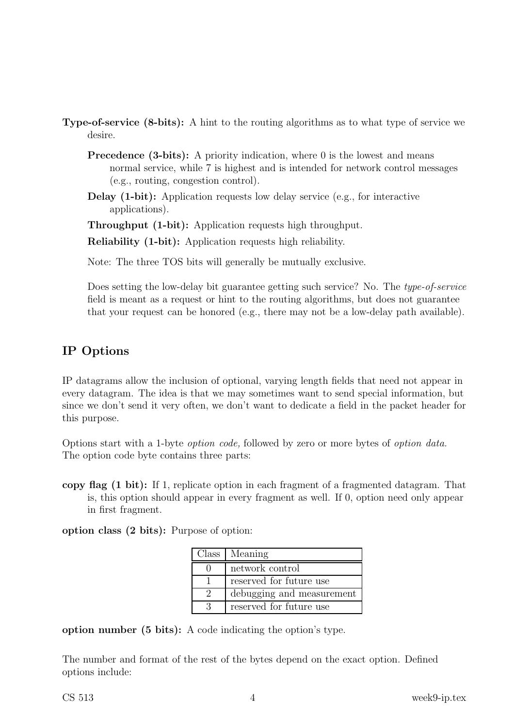- Type-of-service (8-bits): A hint to the routing algorithms as to what type of service we desire.
	- **Precedence (3-bits):** A priority indication, where  $\theta$  is the lowest and means normal service, while 7 is highest and is intended for network control messages (e.g., routing, congestion control).
	- Delay (1-bit): Application requests low delay service (e.g., for interactive applications).

Throughput (1-bit): Application requests high throughput.

Reliability (1-bit): Application requests high reliability.

Note: The three TOS bits will generally be mutually exclusive.

Does setting the low-delay bit guarantee getting such service? No. The type-of-service field is meant as a request or hint to the routing algorithms, but does not guarantee that your request can be honored (e.g., there may not be a low-delay path available).

# IP Options

IP datagrams allow the inclusion of optional, varying length fields that need not appear in every datagram. The idea is that we may sometimes want to send special information, but since we don't send it very often, we don't want to dedicate a field in the packet header for this purpose.

Options start with a 1-byte option code, followed by zero or more bytes of option data. The option code byte contains three parts:

copy flag (1 bit): If 1, replicate option in each fragment of a fragmented datagram. That is, this option should appear in every fragment as well. If 0, option need only appear in first fragment.

option class (2 bits): Purpose of option:

| Class   Meaning           |
|---------------------------|
| network control           |
| reserved for future use   |
| debugging and measurement |
| reserved for future use   |

option number (5 bits): A code indicating the option's type.

The number and format of the rest of the bytes depend on the exact option. Defined options include: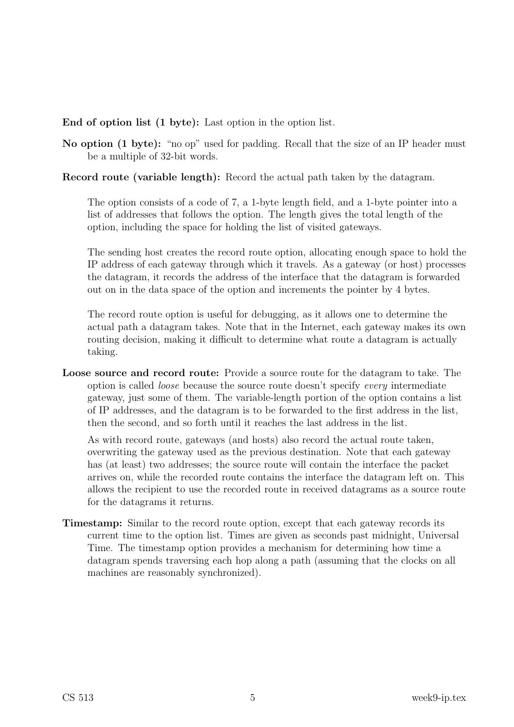#### End of option list (1 byte): Last option in the option list.

No option (1 byte): "no op" used for padding. Recall that the size of an IP header must be a multiple of 32-bit words.

#### Record route (variable length): Record the actual path taken by the datagram.

The option consists of a code of 7, a 1-byte length field, and a 1-byte pointer into a list of addresses that follows the option. The length gives the total length of the option, including the space for holding the list of visited gateways.

The sending host creates the record route option, allocating enough space to hold the IP address of each gateway through which it travels. As a gateway (or host) processes the datagram, it records the address of the interface that the datagram is forwarded out on in the data space of the option and increments the pointer by 4 bytes.

The record route option is useful for debugging, as it allows one to determine the actual path a datagram takes. Note that in the Internet, each gateway makes its own routing decision, making it difficult to determine what route a datagram is actually taking.

Loose source and record route: Provide a source route for the datagram to take. The option is called loose because the source route doesn't specify every intermediate gateway, just some of them. The variable-length portion of the option contains a list of IP addresses, and the datagram is to be forwarded to the first address in the list, then the second, and so forth until it reaches the last address in the list.

As with record route, gateways (and hosts) also record the actual route taken, overwriting the gateway used as the previous destination. Note that each gateway has (at least) two addresses; the source route will contain the interface the packet arrives on, while the recorded route contains the interface the datagram left on. This allows the recipient to use the recorded route in received datagrams as a source route for the datagrams it returns.

Timestamp: Similar to the record route option, except that each gateway records its current time to the option list. Times are given as seconds past midnight, Universal Time. The timestamp option provides a mechanism for determining how time a datagram spends traversing each hop along a path (assuming that the clocks on all machines are reasonably synchronized).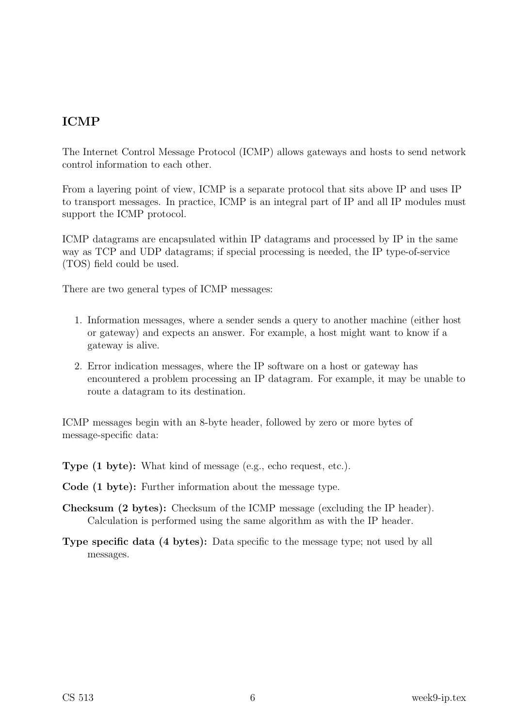# ICMP

The Internet Control Message Protocol (ICMP) allows gateways and hosts to send network control information to each other.

From a layering point of view, ICMP is a separate protocol that sits above IP and uses IP to transport messages. In practice, ICMP is an integral part of IP and all IP modules must support the ICMP protocol.

ICMP datagrams are encapsulated within IP datagrams and processed by IP in the same way as TCP and UDP datagrams; if special processing is needed, the IP type-of-service (TOS) field could be used.

There are two general types of ICMP messages:

- 1. Information messages, where a sender sends a query to another machine (either host or gateway) and expects an answer. For example, a host might want to know if a gateway is alive.
- 2. Error indication messages, where the IP software on a host or gateway has encountered a problem processing an IP datagram. For example, it may be unable to route a datagram to its destination.

ICMP messages begin with an 8-byte header, followed by zero or more bytes of message-specific data:

Type (1 byte): What kind of message (e.g., echo request, etc.).

Code (1 byte): Further information about the message type.

- Checksum (2 bytes): Checksum of the ICMP message (excluding the IP header). Calculation is performed using the same algorithm as with the IP header.
- Type specific data (4 bytes): Data specific to the message type; not used by all messages.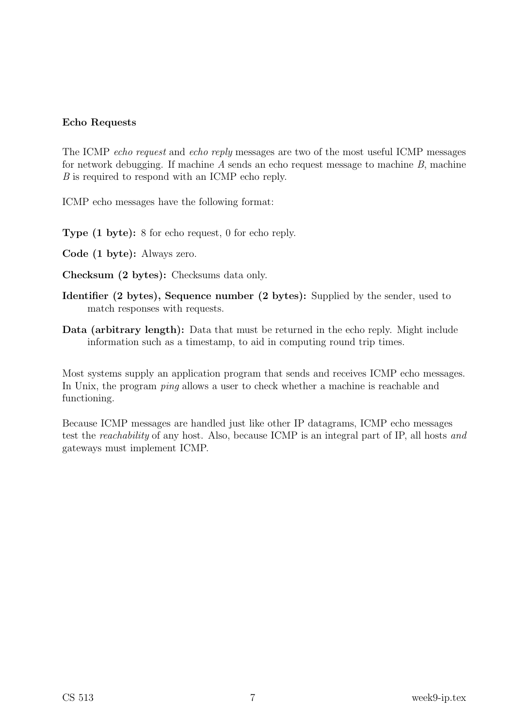#### Echo Requests

The ICMP *echo request* and *echo reply* messages are two of the most useful ICMP messages for network debugging. If machine A sends an echo request message to machine B, machine B is required to respond with an ICMP echo reply.

ICMP echo messages have the following format:

Type (1 byte): 8 for echo request, 0 for echo reply.

- Code (1 byte): Always zero.
- Checksum (2 bytes): Checksums data only.
- Identifier (2 bytes), Sequence number (2 bytes): Supplied by the sender, used to match responses with requests.
- Data (arbitrary length): Data that must be returned in the echo reply. Might include information such as a timestamp, to aid in computing round trip times.

Most systems supply an application program that sends and receives ICMP echo messages. In Unix, the program *ping* allows a user to check whether a machine is reachable and functioning.

Because ICMP messages are handled just like other IP datagrams, ICMP echo messages test the reachability of any host. Also, because ICMP is an integral part of IP, all hosts and gateways must implement ICMP.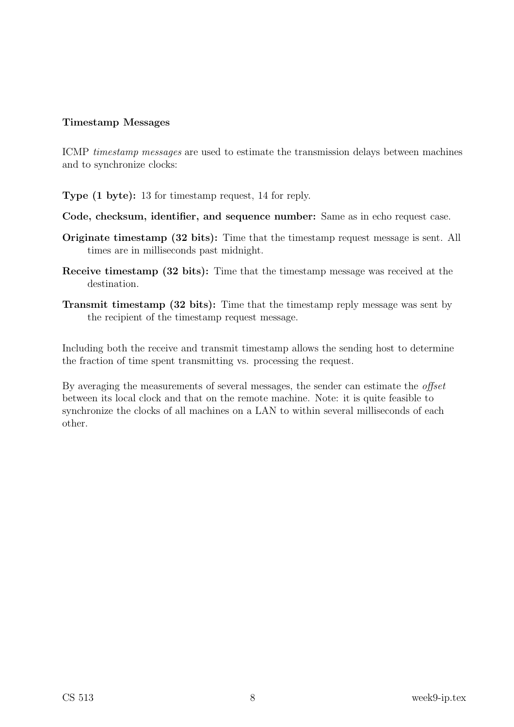#### Timestamp Messages

ICMP timestamp messages are used to estimate the transmission delays between machines and to synchronize clocks:

Type (1 byte): 13 for timestamp request, 14 for reply.

- Code, checksum, identifier, and sequence number: Same as in echo request case.
- Originate timestamp (32 bits): Time that the timestamp request message is sent. All times are in milliseconds past midnight.
- Receive timestamp (32 bits): Time that the timestamp message was received at the destination.
- Transmit timestamp (32 bits): Time that the timestamp reply message was sent by the recipient of the timestamp request message.

Including both the receive and transmit timestamp allows the sending host to determine the fraction of time spent transmitting vs. processing the request.

By averaging the measurements of several messages, the sender can estimate the *offset* between its local clock and that on the remote machine. Note: it is quite feasible to synchronize the clocks of all machines on a LAN to within several milliseconds of each other.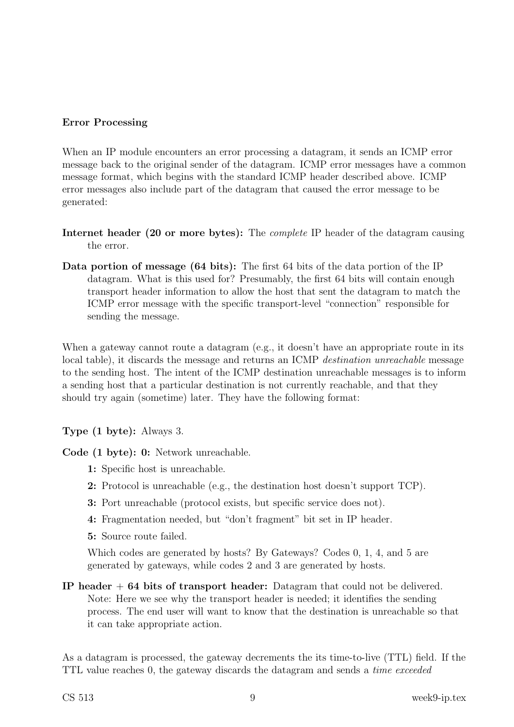#### Error Processing

When an IP module encounters an error processing a datagram, it sends an ICMP error message back to the original sender of the datagram. ICMP error messages have a common message format, which begins with the standard ICMP header described above. ICMP error messages also include part of the datagram that caused the error message to be generated:

- Internet header (20 or more bytes): The complete IP header of the datagram causing the error.
- Data portion of message (64 bits): The first 64 bits of the data portion of the IP datagram. What is this used for? Presumably, the first 64 bits will contain enough transport header information to allow the host that sent the datagram to match the ICMP error message with the specific transport-level "connection" responsible for sending the message.

When a gateway cannot route a datagram (e.g., it doesn't have an appropriate route in its local table), it discards the message and returns an ICMP destination unreachable message to the sending host. The intent of the ICMP destination unreachable messages is to inform a sending host that a particular destination is not currently reachable, and that they should try again (sometime) later. They have the following format:

#### Type (1 byte): Always 3.

Code (1 byte): 0: Network unreachable.

- 1: Specific host is unreachable.
- 2: Protocol is unreachable (e.g., the destination host doesn't support TCP).
- 3: Port unreachable (protocol exists, but specific service does not).
- 4: Fragmentation needed, but "don't fragment" bit set in IP header.
- 5: Source route failed.

Which codes are generated by hosts? By Gateways? Codes 0, 1, 4, and 5 are generated by gateways, while codes 2 and 3 are generated by hosts.

IP header + 64 bits of transport header: Datagram that could not be delivered. Note: Here we see why the transport header is needed; it identifies the sending process. The end user will want to know that the destination is unreachable so that it can take appropriate action.

As a datagram is processed, the gateway decrements the its time-to-live (TTL) field. If the TTL value reaches 0, the gateway discards the datagram and sends a time exceeded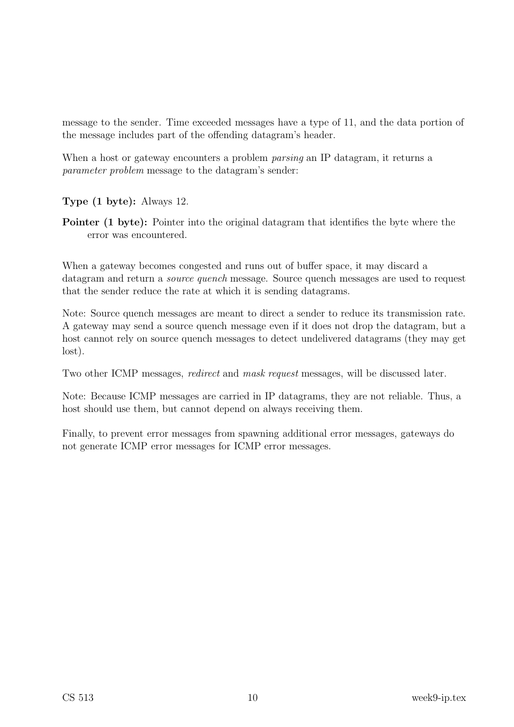message to the sender. Time exceeded messages have a type of 11, and the data portion of the message includes part of the offending datagram's header.

When a host or gateway encounters a problem *parsing* an IP datagram, it returns a parameter problem message to the datagram's sender:

Type (1 byte): Always 12.

Pointer (1 byte): Pointer into the original datagram that identifies the byte where the error was encountered.

When a gateway becomes congested and runs out of buffer space, it may discard a datagram and return a *source quench* message. Source quench messages are used to request that the sender reduce the rate at which it is sending datagrams.

Note: Source quench messages are meant to direct a sender to reduce its transmission rate. A gateway may send a source quench message even if it does not drop the datagram, but a host cannot rely on source quench messages to detect undelivered datagrams (they may get lost).

Two other ICMP messages, redirect and mask request messages, will be discussed later.

Note: Because ICMP messages are carried in IP datagrams, they are not reliable. Thus, a host should use them, but cannot depend on always receiving them.

Finally, to prevent error messages from spawning additional error messages, gateways do not generate ICMP error messages for ICMP error messages.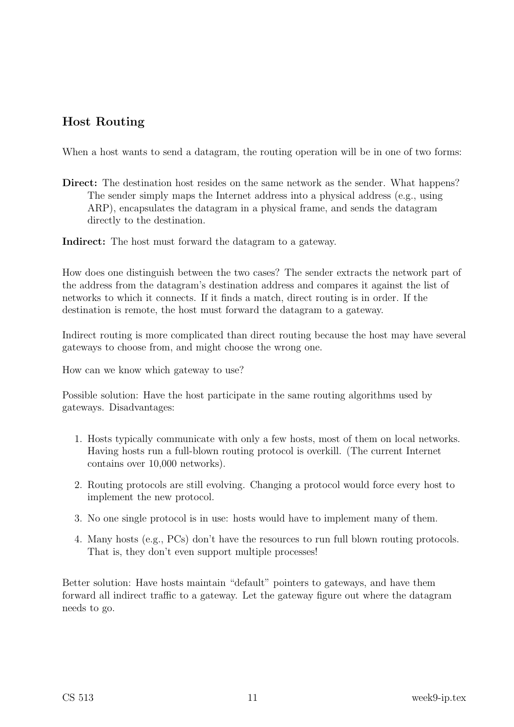## Host Routing

When a host wants to send a datagram, the routing operation will be in one of two forms:

Direct: The destination host resides on the same network as the sender. What happens? The sender simply maps the Internet address into a physical address (e.g., using ARP), encapsulates the datagram in a physical frame, and sends the datagram directly to the destination.

Indirect: The host must forward the datagram to a gateway.

How does one distinguish between the two cases? The sender extracts the network part of the address from the datagram's destination address and compares it against the list of networks to which it connects. If it finds a match, direct routing is in order. If the destination is remote, the host must forward the datagram to a gateway.

Indirect routing is more complicated than direct routing because the host may have several gateways to choose from, and might choose the wrong one.

How can we know which gateway to use?

Possible solution: Have the host participate in the same routing algorithms used by gateways. Disadvantages:

- 1. Hosts typically communicate with only a few hosts, most of them on local networks. Having hosts run a full-blown routing protocol is overkill. (The current Internet contains over 10,000 networks).
- 2. Routing protocols are still evolving. Changing a protocol would force every host to implement the new protocol.
- 3. No one single protocol is in use: hosts would have to implement many of them.
- 4. Many hosts (e.g., PCs) don't have the resources to run full blown routing protocols. That is, they don't even support multiple processes!

Better solution: Have hosts maintain "default" pointers to gateways, and have them forward all indirect traffic to a gateway. Let the gateway figure out where the datagram needs to go.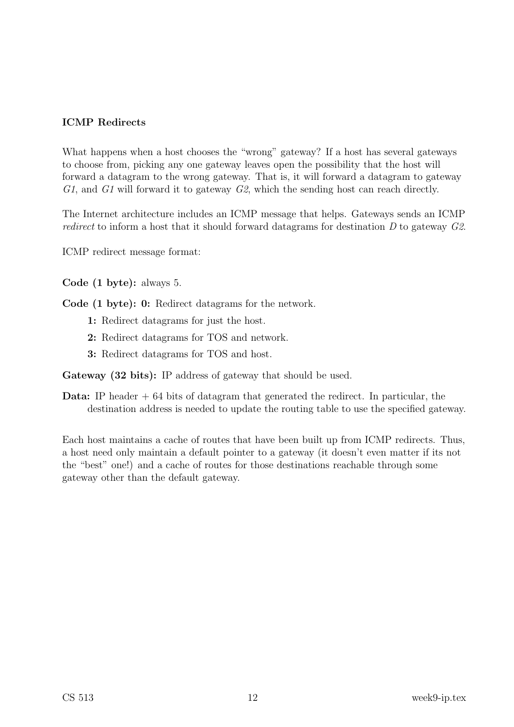#### ICMP Redirects

What happens when a host chooses the "wrong" gateway? If a host has several gateways to choose from, picking any one gateway leaves open the possibility that the host will forward a datagram to the wrong gateway. That is, it will forward a datagram to gateway G1, and G1 will forward it to gateway G2, which the sending host can reach directly.

The Internet architecture includes an ICMP message that helps. Gateways sends an ICMP redirect to inform a host that it should forward datagrams for destination D to gateway G2.

ICMP redirect message format:

Code (1 byte): always 5.

Code (1 byte): 0: Redirect datagrams for the network.

- 1: Redirect datagrams for just the host.
- 2: Redirect datagrams for TOS and network.
- 3: Redirect datagrams for TOS and host.

Gateway (32 bits): IP address of gateway that should be used.

**Data:** IP header  $+ 64$  bits of datagram that generated the redirect. In particular, the destination address is needed to update the routing table to use the specified gateway.

Each host maintains a cache of routes that have been built up from ICMP redirects. Thus, a host need only maintain a default pointer to a gateway (it doesn't even matter if its not the "best" one!) and a cache of routes for those destinations reachable through some gateway other than the default gateway.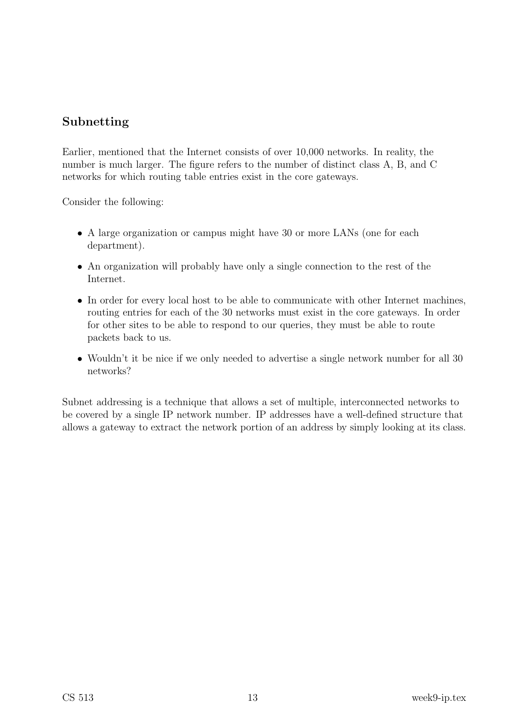### Subnetting

Earlier, mentioned that the Internet consists of over 10,000 networks. In reality, the number is much larger. The figure refers to the number of distinct class A, B, and C networks for which routing table entries exist in the core gateways.

Consider the following:

- A large organization or campus might have 30 or more LANs (one for each department).
- An organization will probably have only a single connection to the rest of the Internet.
- In order for every local host to be able to communicate with other Internet machines, routing entries for each of the 30 networks must exist in the core gateways. In order for other sites to be able to respond to our queries, they must be able to route packets back to us.
- Wouldn't it be nice if we only needed to advertise a single network number for all 30 networks?

Subnet addressing is a technique that allows a set of multiple, interconnected networks to be covered by a single IP network number. IP addresses have a well-defined structure that allows a gateway to extract the network portion of an address by simply looking at its class.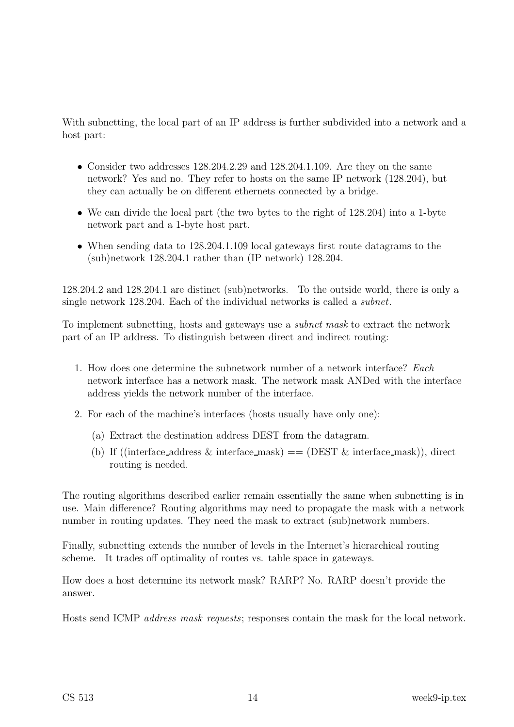With subnetting, the local part of an IP address is further subdivided into a network and a host part:

- Consider two addresses 128.204.2.29 and 128.204.1.109. Are they on the same network? Yes and no. They refer to hosts on the same IP network (128.204), but they can actually be on different ethernets connected by a bridge.
- We can divide the local part (the two bytes to the right of 128.204) into a 1-byte network part and a 1-byte host part.
- When sending data to 128.204.1.109 local gateways first route datagrams to the (sub)network 128.204.1 rather than (IP network) 128.204.

128.204.2 and 128.204.1 are distinct (sub)networks. To the outside world, there is only a single network 128.204. Each of the individual networks is called a subnet.

To implement subnetting, hosts and gateways use a subnet mask to extract the network part of an IP address. To distinguish between direct and indirect routing:

- 1. How does one determine the subnetwork number of a network interface? Each network interface has a network mask. The network mask ANDed with the interface address yields the network number of the interface.
- 2. For each of the machine's interfaces (hosts usually have only one):
	- (a) Extract the destination address DEST from the datagram.
	- (b) If ((interface address  $\&$  interface mask)  $=$  (DEST  $\&$  interface mask)), direct routing is needed.

The routing algorithms described earlier remain essentially the same when subnetting is in use. Main difference? Routing algorithms may need to propagate the mask with a network number in routing updates. They need the mask to extract (sub)network numbers.

Finally, subnetting extends the number of levels in the Internet's hierarchical routing scheme. It trades off optimality of routes vs. table space in gateways.

How does a host determine its network mask? RARP? No. RARP doesn't provide the answer.

Hosts send ICMP address mask requests; responses contain the mask for the local network.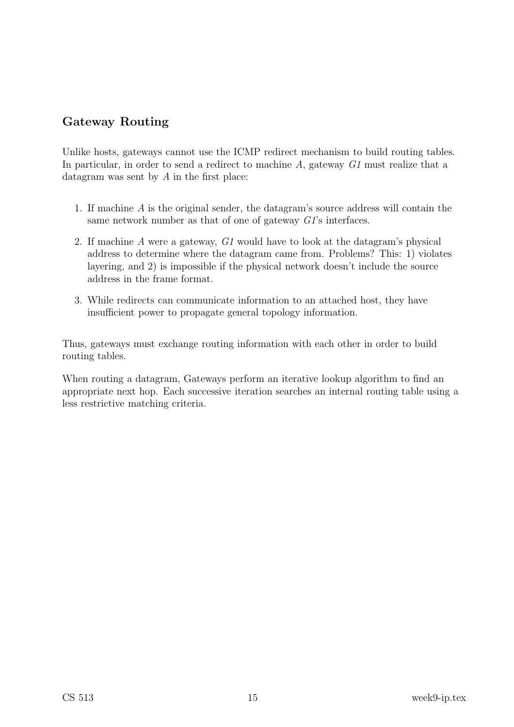# Gateway Routing

Unlike hosts, gateways cannot use the ICMP redirect mechanism to build routing tables. In particular, in order to send a redirect to machine  $A$ , gateway  $GI$  must realize that a datagram was sent by A in the first place:

- 1. If machine A is the original sender, the datagram's source address will contain the same network number as that of one of gateway G1's interfaces.
- 2. If machine A were a gateway, G1 would have to look at the datagram's physical address to determine where the datagram came from. Problems? This: 1) violates layering, and 2) is impossible if the physical network doesn't include the source address in the frame format.
- 3. While redirects can communicate information to an attached host, they have insufficient power to propagate general topology information.

Thus, gateways must exchange routing information with each other in order to build routing tables.

When routing a datagram, Gateways perform an iterative lookup algorithm to find an appropriate next hop. Each successive iteration searches an internal routing table using a less restrictive matching criteria.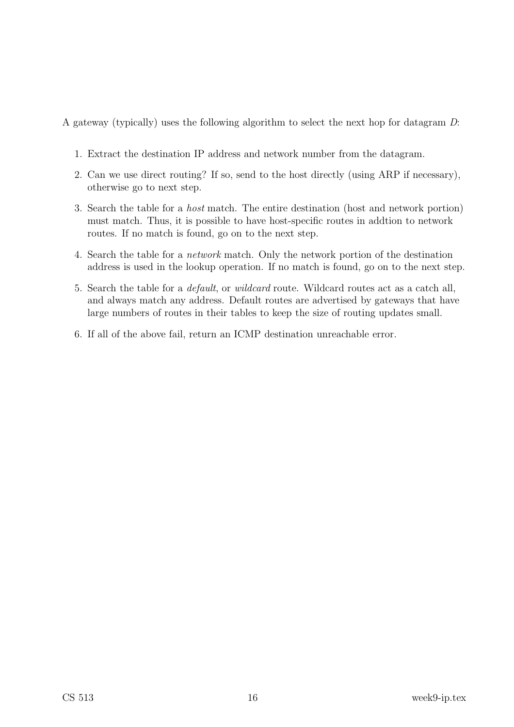A gateway (typically) uses the following algorithm to select the next hop for datagram D:

- 1. Extract the destination IP address and network number from the datagram.
- 2. Can we use direct routing? If so, send to the host directly (using ARP if necessary), otherwise go to next step.
- 3. Search the table for a host match. The entire destination (host and network portion) must match. Thus, it is possible to have host-specific routes in addtion to network routes. If no match is found, go on to the next step.
- 4. Search the table for a network match. Only the network portion of the destination address is used in the lookup operation. If no match is found, go on to the next step.
- 5. Search the table for a default, or wildcard route. Wildcard routes act as a catch all, and always match any address. Default routes are advertised by gateways that have large numbers of routes in their tables to keep the size of routing updates small.
- 6. If all of the above fail, return an ICMP destination unreachable error.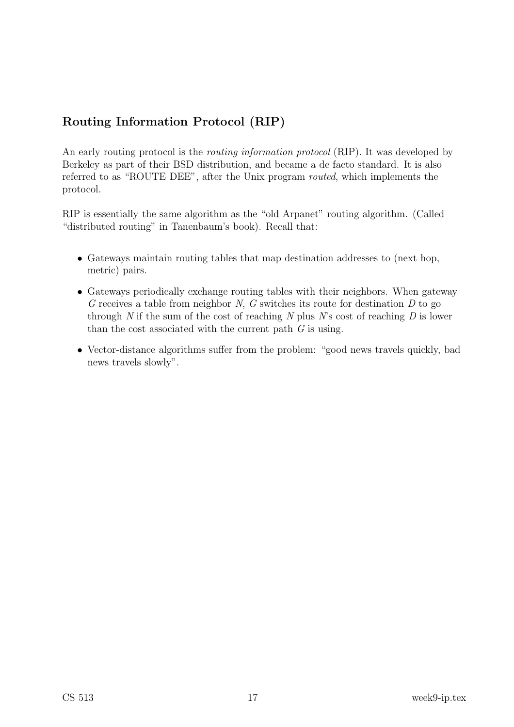# Routing Information Protocol (RIP)

An early routing protocol is the *routing information protocol* (RIP). It was developed by Berkeley as part of their BSD distribution, and became a de facto standard. It is also referred to as "ROUTE DEE", after the Unix program routed, which implements the protocol.

RIP is essentially the same algorithm as the "old Arpanet" routing algorithm. (Called "distributed routing" in Tanenbaum's book). Recall that:

- Gateways maintain routing tables that map destination addresses to (next hop, metric) pairs.
- Gateways periodically exchange routing tables with their neighbors. When gateway G receives a table from neighbor  $N$ ,  $G$  switches its route for destination  $D$  to go through N if the sum of the cost of reaching N plus  $N$ 's cost of reaching D is lower than the cost associated with the current path  $G$  is using.
- Vector-distance algorithms suffer from the problem: "good news travels quickly, bad news travels slowly".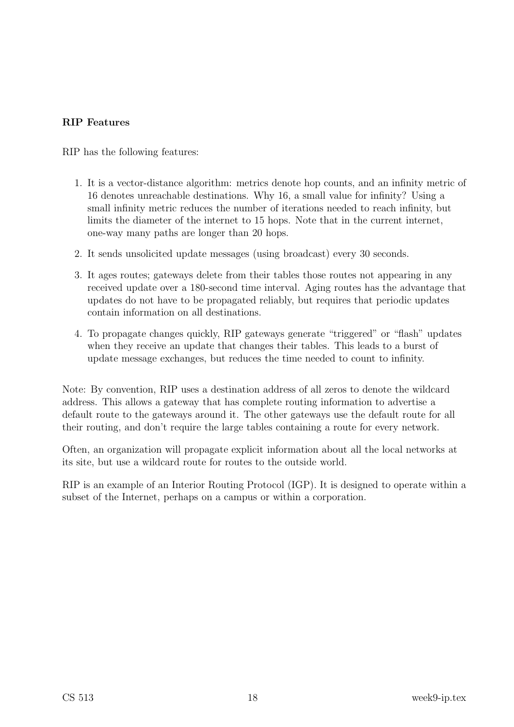#### RIP Features

RIP has the following features:

- 1. It is a vector-distance algorithm: metrics denote hop counts, and an infinity metric of 16 denotes unreachable destinations. Why 16, a small value for infinity? Using a small infinity metric reduces the number of iterations needed to reach infinity, but limits the diameter of the internet to 15 hops. Note that in the current internet, one-way many paths are longer than 20 hops.
- 2. It sends unsolicited update messages (using broadcast) every 30 seconds.
- 3. It ages routes; gateways delete from their tables those routes not appearing in any received update over a 180-second time interval. Aging routes has the advantage that updates do not have to be propagated reliably, but requires that periodic updates contain information on all destinations.
- 4. To propagate changes quickly, RIP gateways generate "triggered" or "flash" updates when they receive an update that changes their tables. This leads to a burst of update message exchanges, but reduces the time needed to count to infinity.

Note: By convention, RIP uses a destination address of all zeros to denote the wildcard address. This allows a gateway that has complete routing information to advertise a default route to the gateways around it. The other gateways use the default route for all their routing, and don't require the large tables containing a route for every network.

Often, an organization will propagate explicit information about all the local networks at its site, but use a wildcard route for routes to the outside world.

RIP is an example of an Interior Routing Protocol (IGP). It is designed to operate within a subset of the Internet, perhaps on a campus or within a corporation.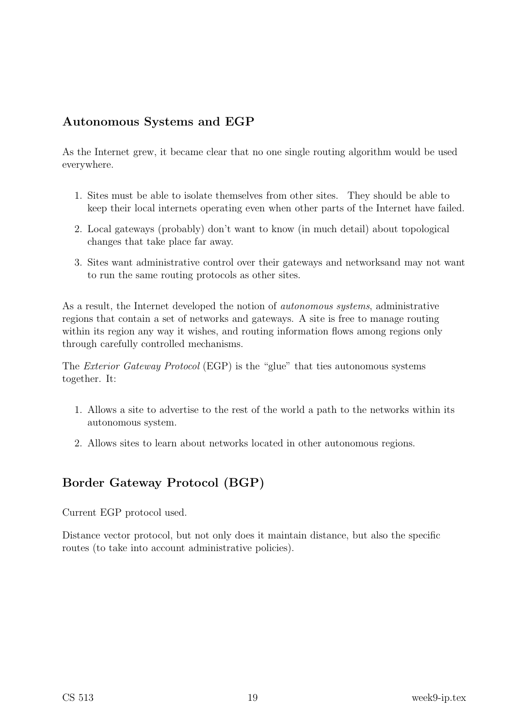# Autonomous Systems and EGP

As the Internet grew, it became clear that no one single routing algorithm would be used everywhere.

- 1. Sites must be able to isolate themselves from other sites. They should be able to keep their local internets operating even when other parts of the Internet have failed.
- 2. Local gateways (probably) don't want to know (in much detail) about topological changes that take place far away.
- 3. Sites want administrative control over their gateways and networksand may not want to run the same routing protocols as other sites.

As a result, the Internet developed the notion of autonomous systems, administrative regions that contain a set of networks and gateways. A site is free to manage routing within its region any way it wishes, and routing information flows among regions only through carefully controlled mechanisms.

The Exterior Gateway Protocol (EGP) is the "glue" that ties autonomous systems together. It:

- 1. Allows a site to advertise to the rest of the world a path to the networks within its autonomous system.
- 2. Allows sites to learn about networks located in other autonomous regions.

# Border Gateway Protocol (BGP)

Current EGP protocol used.

Distance vector protocol, but not only does it maintain distance, but also the specific routes (to take into account administrative policies).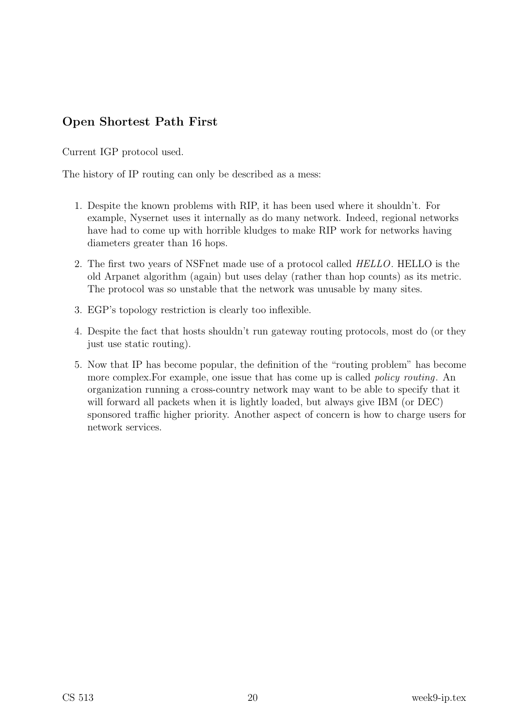## Open Shortest Path First

Current IGP protocol used.

The history of IP routing can only be described as a mess:

- 1. Despite the known problems with RIP, it has been used where it shouldn't. For example, Nysernet uses it internally as do many network. Indeed, regional networks have had to come up with horrible kludges to make RIP work for networks having diameters greater than 16 hops.
- 2. The first two years of NSFnet made use of a protocol called HELLO. HELLO is the old Arpanet algorithm (again) but uses delay (rather than hop counts) as its metric. The protocol was so unstable that the network was unusable by many sites.
- 3. EGP's topology restriction is clearly too inflexible.
- 4. Despite the fact that hosts shouldn't run gateway routing protocols, most do (or they just use static routing).
- 5. Now that IP has become popular, the definition of the "routing problem" has become more complex. For example, one issue that has come up is called *policy routing*. An organization running a cross-country network may want to be able to specify that it will forward all packets when it is lightly loaded, but always give IBM (or DEC) sponsored traffic higher priority. Another aspect of concern is how to charge users for network services.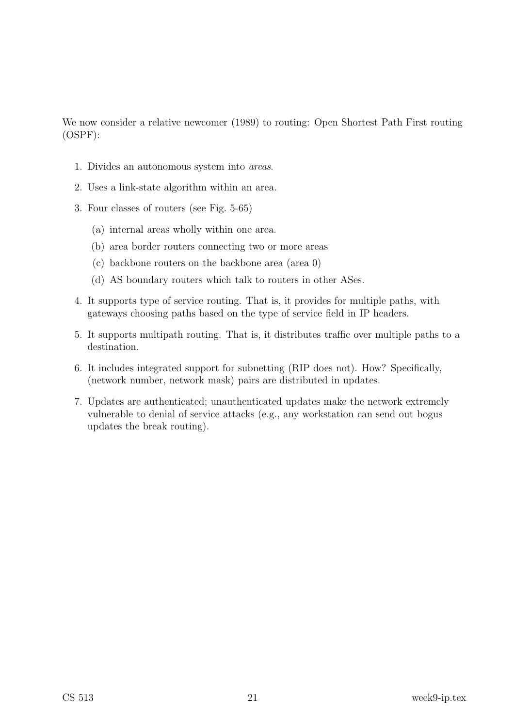We now consider a relative newcomer (1989) to routing: Open Shortest Path First routing (OSPF):

- 1. Divides an autonomous system into areas.
- 2. Uses a link-state algorithm within an area.
- 3. Four classes of routers (see Fig. 5-65)
	- (a) internal areas wholly within one area.
	- (b) area border routers connecting two or more areas
	- (c) backbone routers on the backbone area (area 0)
	- (d) AS boundary routers which talk to routers in other ASes.
- 4. It supports type of service routing. That is, it provides for multiple paths, with gateways choosing paths based on the type of service field in IP headers.
- 5. It supports multipath routing. That is, it distributes traffic over multiple paths to a destination.
- 6. It includes integrated support for subnetting (RIP does not). How? Specifically, (network number, network mask) pairs are distributed in updates.
- 7. Updates are authenticated; unauthenticated updates make the network extremely vulnerable to denial of service attacks (e.g., any workstation can send out bogus updates the break routing).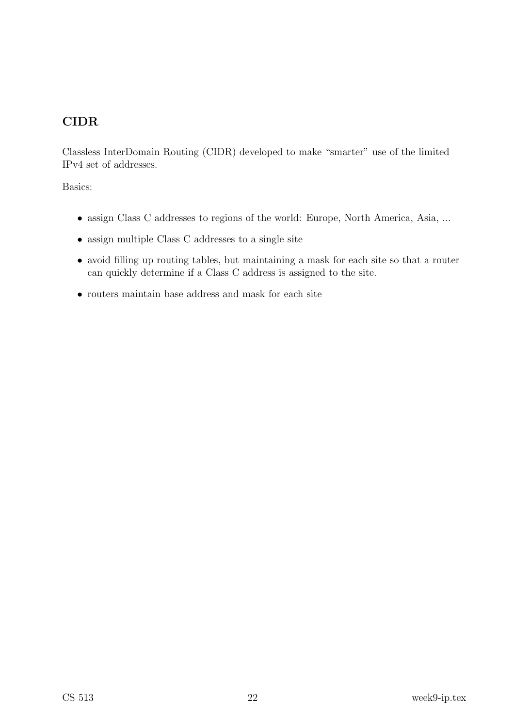## CIDR

Classless InterDomain Routing (CIDR) developed to make "smarter" use of the limited IPv4 set of addresses.

Basics:

- assign Class C addresses to regions of the world: Europe, North America, Asia, ...
- assign multiple Class C addresses to a single site
- avoid filling up routing tables, but maintaining a mask for each site so that a router can quickly determine if a Class C address is assigned to the site.
- routers maintain base address and mask for each site